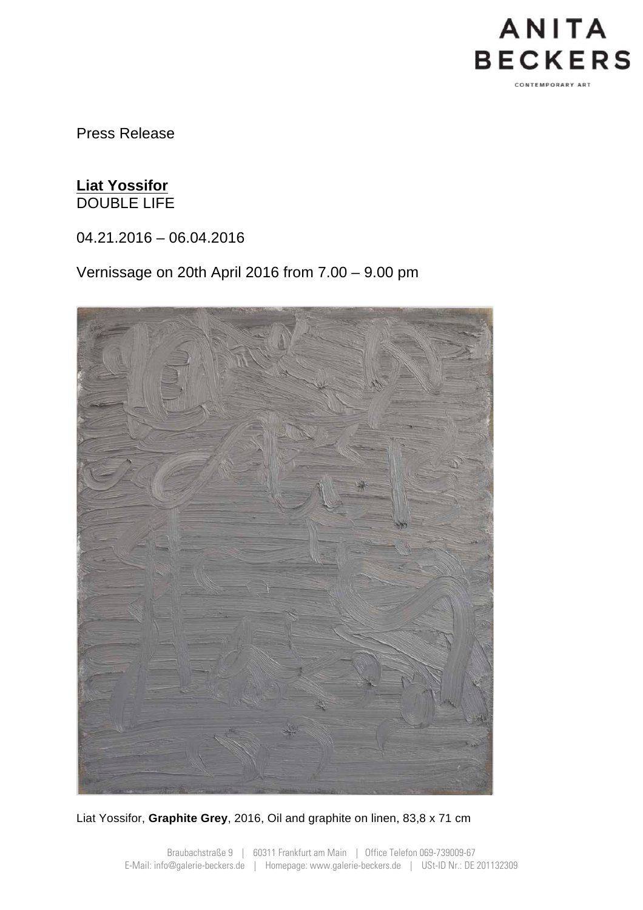

Press Release

## **Liat Yossifor** DOUBLE LIFE

04.21.2016 – 06.04.2016

Vernissage on 20th April 2016 from 7.00 – 9.00 pm



Liat Yossifor, **Graphite Grey**, 2016, Oil and graphite on linen, 83,8 x 71 cm